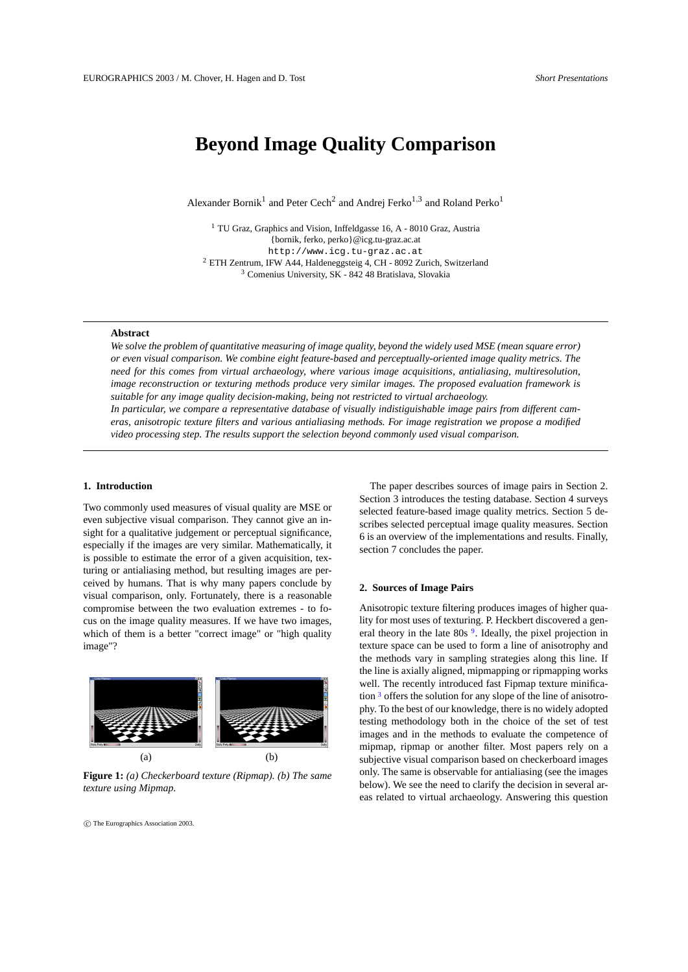# **Beyond Image Quality Comparison**

Alexander Bornik<sup>1</sup> and Peter Cech<sup>2</sup> and Andrej Ferko<sup>1,3</sup> and Roland Perko<sup>1</sup>

<sup>1</sup> TU Graz, Graphics and Vision, Inffeldgasse 16, A - 8010 Graz, Austria {bornik, ferko, perko}@icg.tu-graz.ac.at http://www.icg.tu-graz.ac.at <sup>2</sup> ETH Zentrum, IFW A44, Haldeneggsteig 4, CH - 8092 Zurich, Switzerland <sup>3</sup> Comenius University, SK - 842 48 Bratislava, Slovakia

# **Abstract**

*We solve the problem of quantitative measuring of image quality, beyond the widely used MSE (mean square error) or even visual comparison. We combine eight feature-based and perceptually-oriented image quality metrics. The need for this comes from virtual archaeology, where various image acquisitions, antialiasing, multiresolution, image reconstruction or texturing methods produce very similar images. The proposed evaluation framework is suitable for any image quality decision-making, being not restricted to virtual archaeology. In particular, we compare a representative database of visually indistiguishable image pairs from different cameras, anisotropic texture filters and various antialiasing methods. For image registration we propose a modified*

*video processing step. The results support the selection beyond commonly used visual comparison.*

# **1. Introduction**

Two commonly used measures of visual quality are MSE or even subjective visual comparison. They cannot give an insight for a qualitative judgement or perceptual significance, especially if the images are very similar. Mathematically, it is possible to estimate the error of a given acquisition, texturing or antialiasing method, but resulting images are perceived by humans. That is why many papers conclude by visual comparison, only. Fortunately, there is a reasonable compromise between the two evaluation extremes - to focus on the image quality measures. If we have two images, which of them is a better "correct image" or "high quality image"?



**Figure 1:** *(a) Checkerboard texture (Ripmap). (b) The same texture using Mipmap.*

c The Eurographics Association 2003.

The paper describes sources of image pairs in Section 2. Section 3 introduces the testing database. Section 4 surveys selected feature-based image quality metrics. Section 5 describes selected perceptual image quality measures. Section 6 is an overview of the implementations and results. Finally, section 7 concludes the paper.

#### **2. Sources of Image Pairs**

Anisotropic texture filtering produces images of higher quality for most uses of texturing. P. Heckbert discovered a general theory in the late 80s<sup>9</sup>. Ideally, the pixel projection in texture space can be used to form a line of anisotrophy and the methods vary in sampling strategies along this line. If the line is axially aligned, mipmapping or ripmapping works well. The recently introduced fast Fipmap texture minification <sup>3</sup> offers the solution for any slope of the line of anisotrophy. To the best of our knowledge, there is no widely adopted testing methodology both in the choice of the set of test images and in the methods to evaluate the competence of mipmap, ripmap or another filter. Most papers rely on a subjective visual comparison based on checkerboard images only. The same is observable for antialiasing (see the images below). We see the need to clarify the decision in several areas related to virtual archaeology. Answering this question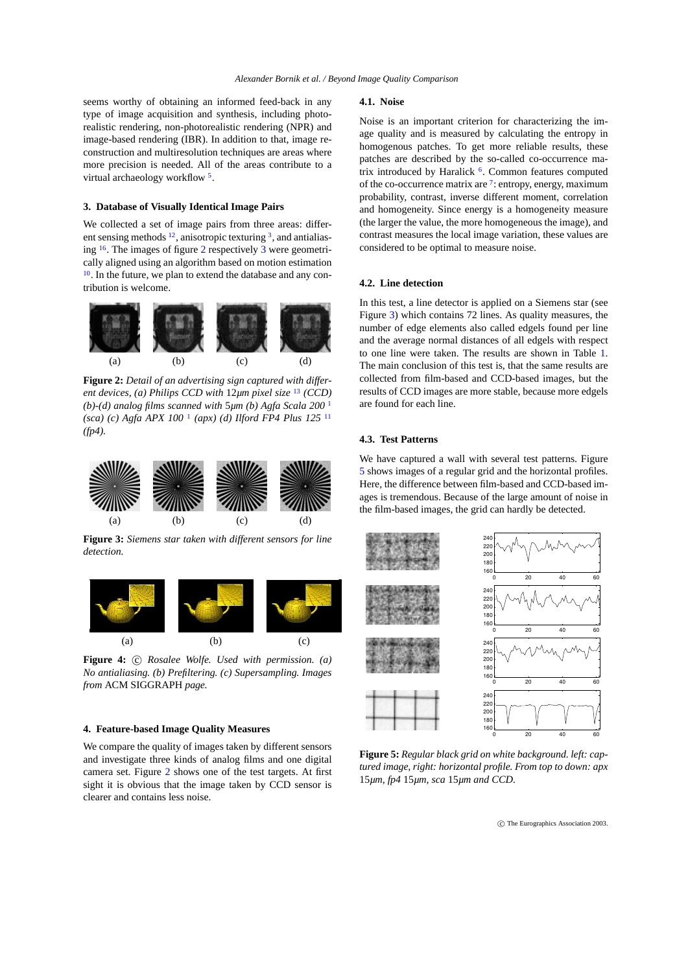seems worthy of obtaining an informed feed-back in any type of image acquisition and synthesis, including photorealistic rendering, non-photorealistic rendering (NPR) and image-based rendering (IBR). In addition to that, image reconstruction and multiresolution techniques are areas where more precision is needed. All of the areas contribute to a virtual archaeology workflow<sup>5</sup>.

## **3. Database of Visually Identical Image Pairs**

We collected a set of image pairs from three areas: different sensing methods  $12$ , anisotropic texturing  $3$ , and antialiasing <sup>16</sup>. The images of figure 2 respectively 3 were geometrically aligned using an algorithm based on motion estimation 10. In the future, we plan to extend the database and any contribution is welcome.



**Figure 2:** *Detail of an advertising sign captured with different devices, (a) Philips CCD with* 12*µm pixel size* <sup>13</sup> *(CCD) (b)-(d) analog films scanned with* 5*µm (b) Agfa Scala 200* <sup>1</sup> *(sca) (c) Agfa APX 100* <sup>1</sup> *(apx) (d) Ilford FP4 Plus 125* <sup>11</sup> *(fp4).*



**Figure 3:** *Siemens star taken with different sensors for line detection.*



Figure 4:  $\odot$  *Rosalee Wolfe. Used with permission. (a) No antialiasing. (b) Prefiltering. (c) Supersampling. Images from* ACM SIGGRAPH *page.*

# **4. Feature-based Image Quality Measures**

We compare the quality of images taken by different sensors and investigate three kinds of analog films and one digital camera set. Figure 2 shows one of the test targets. At first sight it is obvious that the image taken by CCD sensor is clearer and contains less noise.

#### **4.1. Noise**

Noise is an important criterion for characterizing the image quality and is measured by calculating the entropy in homogenous patches. To get more reliable results, these patches are described by the so-called co-occurrence matrix introduced by Haralick <sup>6</sup>. Common features computed of the co-occurrence matrix are <sup>7</sup>: entropy, energy, maximum probability, contrast, inverse different moment, correlation and homogeneity. Since energy is a homogeneity measure (the larger the value, the more homogeneous the image), and contrast measures the local image variation, these values are considered to be optimal to measure noise.

#### **4.2. Line detection**

In this test, a line detector is applied on a Siemens star (see Figure 3) which contains 72 lines. As quality measures, the number of edge elements also called edgels found per line and the average normal distances of all edgels with respect to one line were taken. The results are shown in Table 1. The main conclusion of this test is, that the same results are collected from film-based and CCD-based images, but the results of CCD images are more stable, because more edgels are found for each line.

#### **4.3. Test Patterns**

We have captured a wall with several test patterns. Figure 5 shows images of a regular grid and the horizontal profiles. Here, the difference between film-based and CCD-based images is tremendous. Because of the large amount of noise in the film-based images, the grid can hardly be detected.



**Figure 5:** *Regular black grid on white background. left: captured image, right: horizontal profile. From top to down: apx* 15*µm, fp4* 15*µm, sca* 15*µm and CCD.*

c The Eurographics Association 2003.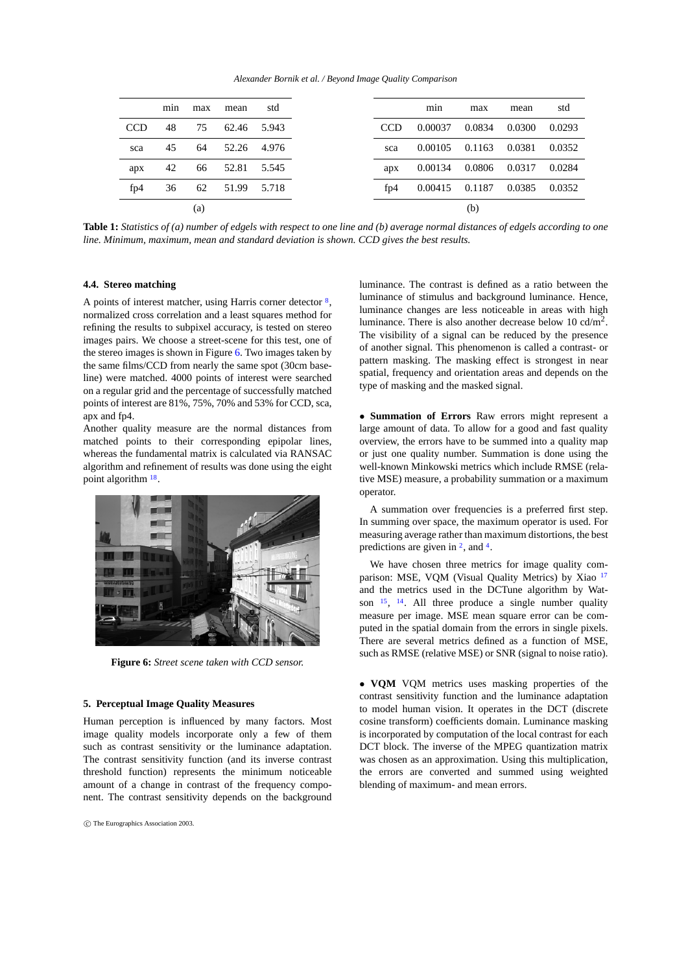*Alexander Bornik et al. / Beyond Image Quality Comparison*

|            | min | max | mean  | std   |            | min     | max    | mean   |  |
|------------|-----|-----|-------|-------|------------|---------|--------|--------|--|
| <b>CCD</b> | 48  | 75  | 62.46 | 5.943 | <b>CCD</b> | 0.00037 | 0.0834 | 0.0300 |  |
| sca        | 45  | 64  | 52.26 | 4.976 | sca        | 0.00105 | 0.1163 | 0.0381 |  |
| apx        | 42  | 66  | 52.81 | 5.545 | apx        | 0.00134 | 0.0806 | 0.0317 |  |
| fp4        | 36  | 62  | 51.99 | 5.718 | fp4        | 0.00415 | 0.1187 | 0.0385 |  |
|            |     | (a) |       |       |            |         | (b)    |        |  |

**Table 1:** *Statistics of (a) number of edgels with respect to one line and (b) average normal distances of edgels according to one line. Minimum, maximum, mean and standard deviation is shown. CCD gives the best results.*

# **4.4. Stereo matching**

A points of interest matcher, using Harris corner detector  $\frac{8}{2}$ , normalized cross correlation and a least squares method for refining the results to subpixel accuracy, is tested on stereo images pairs. We choose a street-scene for this test, one of the stereo images is shown in Figure  $6$ . Two images taken by the same films/CCD from nearly the same spot (30cm baseline) were matched. 4000 points of interest were searched on a regular grid and the percentage of successfully matched points of interest are 81%, 75%, 70% and 53% for CCD, sca, apx and fp4.

Another quality measure are the normal distances from matched points to their corresponding epipolar lines, whereas the fundamental matrix is calculated via RANSAC algorithm and refinement of results was done using the eight point algorithm  $18$ .



**Figure 6:** *Street scene taken with CCD sensor.*

# **5. Perceptual Image Quality Measures**

Human perception is influenced by many factors. Most image quality models incorporate only a few of them such as contrast sensitivity or the luminance adaptation. The contrast sensitivity function (and its inverse contrast threshold function) represents the minimum noticeable amount of a change in contrast of the frequency component. The contrast sensitivity depends on the background

luminance. The contrast is defined as a ratio between the luminance of stimulus and background luminance. Hence, luminance changes are less noticeable in areas with high luminance. There is also another decrease below 10  $cd/m^2$ . The visibility of a signal can be reduced by the presence of another signal. This phenomenon is called a contrast- or pattern masking. The masking effect is strongest in near spatial, frequency and orientation areas and depends on the type of masking and the masked signal.

• **Summation of Errors** Raw errors might represent a large amount of data. To allow for a good and fast quality overview, the errors have to be summed into a quality map or just one quality number. Summation is done using the well-known Minkowski metrics which include RMSE (relative MSE) measure, a probability summation or a maximum operator.

A summation over frequencies is a preferred first step. In summing over space, the maximum operator is used. For measuring average rather than maximum distortions, the best predictions are given in  $2$ , and  $4$ .

We have chosen three metrics for image quality comparison: MSE, VQM (Visual Quality Metrics) by Xiao <sup>17</sup> and the metrics used in the DCTune algorithm by Watson  $15$ ,  $14$ . All three produce a single number quality measure per image. MSE mean square error can be computed in the spatial domain from the errors in single pixels. There are several metrics defined as a function of MSE, such as RMSE (relative MSE) or SNR (signal to noise ratio).

• **VQM** VQM metrics uses masking properties of the contrast sensitivity function and the luminance adaptation to model human vision. It operates in the DCT (discrete cosine transform) coefficients domain. Luminance masking is incorporated by computation of the local contrast for each DCT block. The inverse of the MPEG quantization matrix was chosen as an approximation. Using this multiplication, the errors are converted and summed using weighted blending of maximum- and mean errors.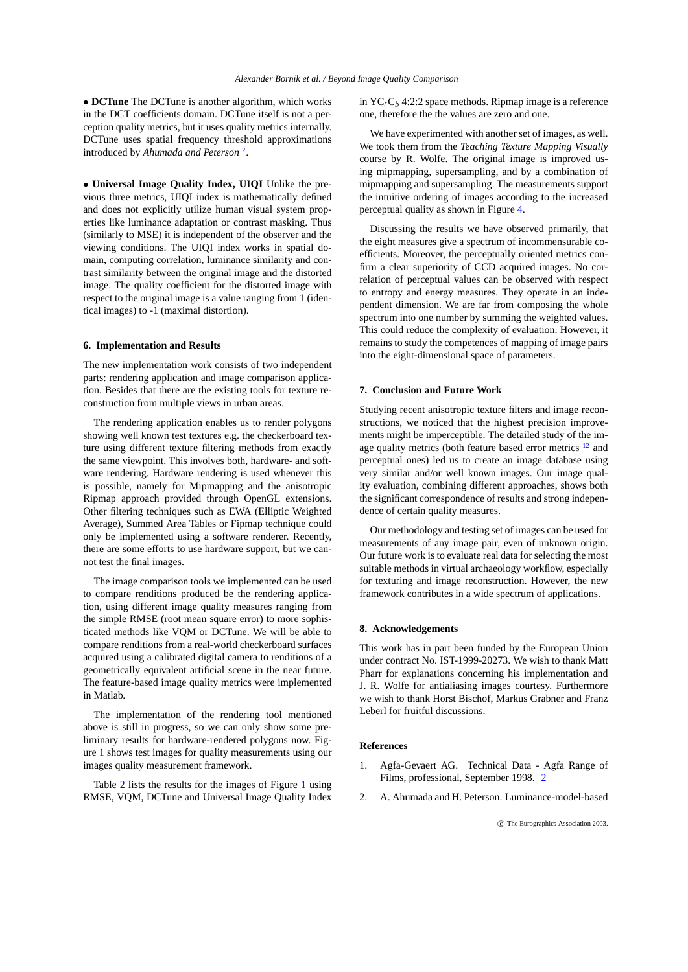• **DCTune** The DCTune is another algorithm, which works in the DCT coefficients domain. DCTune itself is not a perception quality metrics, but it uses quality metrics internally. DCTune uses spatial frequency threshold approximations introduced by *Ahumada and Peterson* <sup>2</sup> .

• **Universal Image Quality Index, UIQI** Unlike the previous three metrics, UIQI index is mathematically defined and does not explicitly utilize human visual system properties like luminance adaptation or contrast masking. Thus (similarly to MSE) it is independent of the observer and the viewing conditions. The UIQI index works in spatial domain, computing correlation, luminance similarity and contrast similarity between the original image and the distorted image. The quality coefficient for the distorted image with respect to the original image is a value ranging from 1 (identical images) to -1 (maximal distortion).

# **6. Implementation and Results**

The new implementation work consists of two independent parts: rendering application and image comparison application. Besides that there are the existing tools for texture reconstruction from multiple views in urban areas.

The rendering application enables us to render polygons showing well known test textures e.g. the checkerboard texture using different texture filtering methods from exactly the same viewpoint. This involves both, hardware- and software rendering. Hardware rendering is used whenever this is possible, namely for Mipmapping and the anisotropic Ripmap approach provided through OpenGL extensions. Other filtering techniques such as EWA (Elliptic Weighted Average), Summed Area Tables or Fipmap technique could only be implemented using a software renderer. Recently, there are some efforts to use hardware support, but we cannot test the final images.

The image comparison tools we implemented can be used to compare renditions produced be the rendering application, using different image quality measures ranging from the simple RMSE (root mean square error) to more sophisticated methods like VQM or DCTune. We will be able to compare renditions from a real-world checkerboard surfaces acquired using a calibrated digital camera to renditions of a geometrically equivalent artificial scene in the near future. The feature-based image quality metrics were implemented in Matlab.

The implementation of the rendering tool mentioned above is still in progress, so we can only show some preliminary results for hardware-rendered polygons now. Figure 1 shows test images for quality measurements using our images quality measurement framework.

Table 2 lists the results for the images of Figure 1 using RMSE, VQM, DCTune and Universal Image Quality Index in  $YC<sub>r</sub>C<sub>b</sub>$  4:2:2 space methods. Ripmap image is a reference one, therefore the the values are zero and one.

We have experimented with another set of images, as well. We took them from the *Teaching Texture Mapping Visually* course by R. Wolfe. The original image is improved using mipmapping, supersampling, and by a combination of mipmapping and supersampling. The measurements support the intuitive ordering of images according to the increased perceptual quality as shown in Figure 4.

Discussing the results we have observed primarily, that the eight measures give a spectrum of incommensurable coefficients. Moreover, the perceptually oriented metrics confirm a clear superiority of CCD acquired images. No correlation of perceptual values can be observed with respect to entropy and energy measures. They operate in an independent dimension. We are far from composing the whole spectrum into one number by summing the weighted values. This could reduce the complexity of evaluation. However, it remains to study the competences of mapping of image pairs into the eight-dimensional space of parameters.

## **7. Conclusion and Future Work**

Studying recent anisotropic texture filters and image reconstructions, we noticed that the highest precision improvements might be imperceptible. The detailed study of the image quality metrics (both feature based error metrics <sup>12</sup> and perceptual ones) led us to create an image database using very similar and/or well known images. Our image quality evaluation, combining different approaches, shows both the significant correspondence of results and strong independence of certain quality measures.

Our methodology and testing set of images can be used for measurements of any image pair, even of unknown origin. Our future work is to evaluate real data for selecting the most suitable methods in virtual archaeology workflow, especially for texturing and image reconstruction. However, the new framework contributes in a wide spectrum of applications.

# **8. Acknowledgements**

This work has in part been funded by the European Union under contract No. IST-1999-20273. We wish to thank Matt Pharr for explanations concerning his implementation and J. R. Wolfe for antialiasing images courtesy. Furthermore we wish to thank Horst Bischof, Markus Grabner and Franz Leberl for fruitful discussions.

#### **References**

- 1. Agfa-Gevaert AG. Technical Data Agfa Range of Films, professional, September 1998. 2
- 2. A. Ahumada and H. Peterson. Luminance-model-based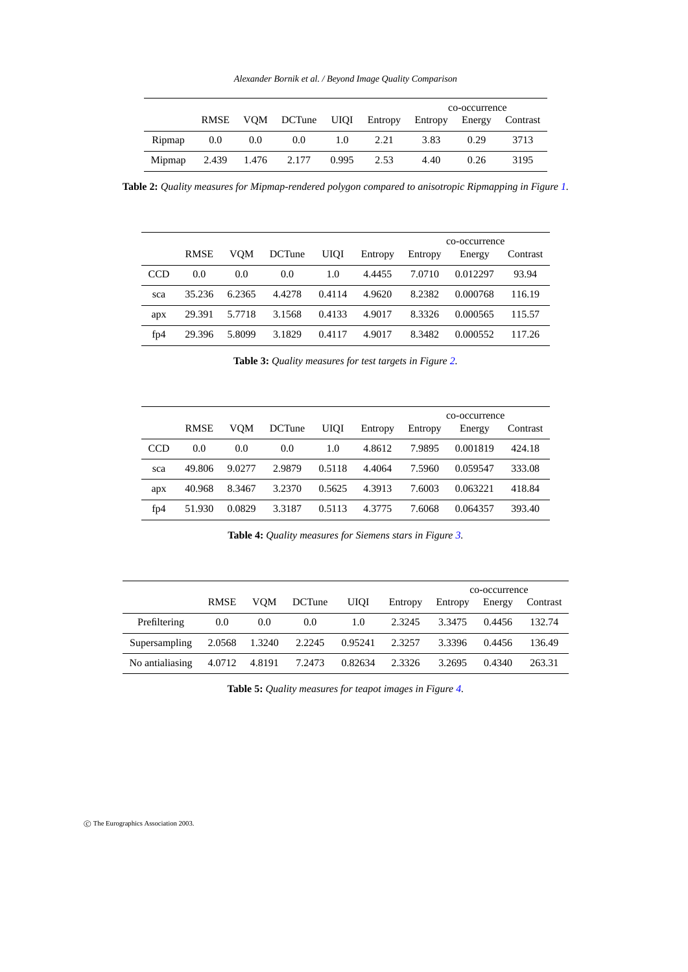*Alexander Bornik et al. / Beyond Image Quality Comparison*

|        |     |     |                                                      |     |      | co-occurrence |      |      |  |
|--------|-----|-----|------------------------------------------------------|-----|------|---------------|------|------|--|
|        |     |     | RMSE VQM DCTune UIQI Entropy Entropy Energy Contrast |     |      |               |      |      |  |
| Ripmap | 0.0 | 0.0 | 0.0                                                  | 1.0 | 2.21 | 3.83          | 0.29 | 3713 |  |
| Mipmap |     |     | 2.439 1.476 2.177 0.995 2.53                         |     |      | 4.40          | 0.26 | 3195 |  |

**Table 2:** *Quality measures for Mipmap-rendered polygon compared to anisotropic Ripmapping in Figure 1.*

|            | co-occurrence |        |               |             |         |         |          |          |
|------------|---------------|--------|---------------|-------------|---------|---------|----------|----------|
|            | <b>RMSE</b>   | VOM    | <b>DCTune</b> | <b>UIOI</b> | Entropy | Entropy | Energy   | Contrast |
| <b>CCD</b> | 0.0           | 0.0    | 0.0           | 1.0         | 4.4455  | 7.0710  | 0.012297 | 93.94    |
| sca        | 35.236        | 6.2365 | 4.4278        | 0.4114      | 4.9620  | 8.2382  | 0.000768 | 116.19   |
| apx        | 29.391        | 5.7718 | 3.1568        | 0.4133      | 4.9017  | 8.3326  | 0.000565 | 115.57   |
| fp4        | 29.396        | 5.8099 | 3.1829        | 0.4117      | 4.9017  | 8.3482  | 0.000552 | 117.26   |

**Table 3:** *Quality measures for test targets in Figure 2.*

|            |             |        |               | co-occurrence |         |         |          |          |
|------------|-------------|--------|---------------|---------------|---------|---------|----------|----------|
|            | <b>RMSE</b> | VOM    | <b>DCTune</b> | <b>UIQI</b>   | Entropy | Entropy | Energy   | Contrast |
| <b>CCD</b> | 0.0         | 0.0    | 0.0           | 1.0           | 4.8612  | 7.9895  | 0.001819 | 424.18   |
| sca        | 49.806      | 9.0277 | 2.9879        | 0.5118        | 4.4064  | 7.5960  | 0.059547 | 333.08   |
| apx        | 40.968      | 8.3467 | 3.2370        | 0.5625        | 4.3913  | 7.6003  | 0.063221 | 418.84   |
| fp4        | 51.930      | 0.0829 | 3.3187        | 0.5113        | 4.3775  | 7.6068  | 0.064357 | 393.40   |

**Table 4:** *Quality measures for Siemens stars in Figure 3.*

|                 |             |        |               |             | co-occurrence |         |        |          |
|-----------------|-------------|--------|---------------|-------------|---------------|---------|--------|----------|
|                 | <b>RMSE</b> | VOM    | <b>DCTune</b> | <b>UIOI</b> | Entropy       | Entropy | Energy | Contrast |
| Prefiltering    | 0.0         | 0.0    | 0.0           | 1.0         | 2.3245        | 3.3475  | 0.4456 | 132.74   |
| Supersampling   | 2.0568      | 1.3240 | 2.2245        | 0.95241     | 2.3257        | 3.3396  | 0.4456 | 136.49   |
| No antialiasing | 4.0712      | 4.8191 | 7.2473        | 0.82634     | 2.3326        | 3.2695  | 0.4340 | 263.31   |

**Table 5:** *Quality measures for teapot images in Figure 4.*

c The Eurographics Association 2003.